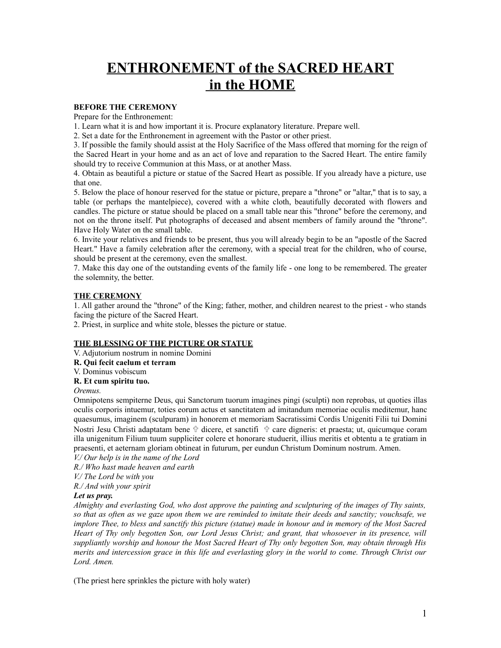# **ENTHRONEMENT of the SACRED HEART in the HOME**

## **BEFORE THE CEREMONY**

Prepare for the Enthronement:

1. Learn what it is and how important it is. Procure explanatory literature. Prepare well.

2. Set a date for the Enthronement in agreement with the Pastor or other priest.

3. If possible the family should assist at the Holy Sacrifice of the Mass offered that morning for the reign of the Sacred Heart in your home and as an act of love and reparation to the Sacred Heart. The entire family should try to receive Communion at this Mass, or at another Mass.

4. Obtain as beautiful a picture or statue of the Sacred Heart as possible. If you already have a picture, use that one.

5. Below the place of honour reserved for the statue or picture, prepare a "throne" or "altar," that is to say, a table (or perhaps the mantelpiece), covered with a white cloth, beautifully decorated with flowers and candles. The picture or statue should be placed on a small table near this "throne" before the ceremony, and not on the throne itself. Put photographs of deceased and absent members of family around the "throne". Have Holy Water on the small table.

6. Invite your relatives and friends to be present, thus you will already begin to be an "apostle of the Sacred Heart." Have a family celebration after the ceremony, with a special treat for the children, who of course, should be present at the ceremony, even the smallest.

7. Make this day one of the outstanding events of the family life - one long to be remembered. The greater the solemnity, the better.

# **THE CEREMONY**

1. All gather around the "throne" of the King; father, mother, and children nearest to the priest - who stands facing the picture of the Sacred Heart.

2. Priest, in surplice and white stole, blesses the picture or statue.

## **THE BLESSING OF THE PICTURE OR STATUE**

V. Adjutorium nostrum in nomine Domini

- **R. Qui fecit caelum et terram**
- V. Dominus vobiscum

# **R. Et cum spiritu tuo.**

*Oremus.*

Omnipotens sempiterne Deus, qui Sanctorum tuorum imagines pingi (sculpti) non reprobas, ut quoties illas oculis corporis intuemur, toties eorum actus et sanctitatem ad imitandum memoriae oculis meditemur, hanc quaesumus, imaginem (sculpuram) in honorem et memoriam Sacratissimi Cordis Unigeniti Filii tui Domini Nostri Jesu Christi adaptatam bene  $\oplus$  dicere, et sanctifi  $\oplus$  care digneris: et praesta; ut, quicumque coram illa unigenitum Filium tuum suppliciter colere et honorare studuerit, illius meritis et obtentu a te gratiam in praesenti, et aeternam gloriam obtineat in futurum, per eundun Christum Dominum nostrum. Amen.

*V./ Our help is in the name of the Lord*

*R./ Who hast made heaven and earth*

*V./ The Lord be with you*

*R./ And with your spirit*

### *Let us pray.*

*Almighty and everlasting God, who dost approve the painting and sculpturing of the images of Thy saints,* so that as often as we gaze upon them we are reminded to imitate their deeds and sanctity; vouchsafe, we implore Thee, to bless and sanctify this picture (statue) made in honour and in memory of the Most Sacred Heart of Thy only begotten Son, our Lord Jesus Christ; and grant, that whosoever in its presence, will *suppliantly worship and honour the Most Sacred Heart of Thy only begotten Son, may obtain through His* merits and intercession grace in this life and everlasting glory in the world to come. Through Christ our *Lord. Amen.*

(The priest here sprinkles the picture with holy water)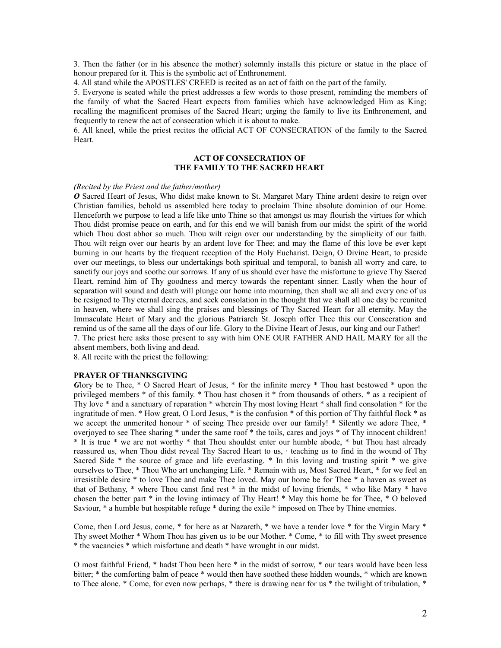3. Then the father (or in his absence the mother) solemnly installs this picture or statue in the place of honour prepared for it. This is the symbolic act of Enthronement.

4. All stand while the APOSTLES' CREED is recited as an act of faith on the part of the family.

5. Everyone is seated while the priest addresses a few words to those present, reminding the members of the family of what the Sacred Heart expects from families which have acknowledged Him as King; recalling the magnificent promises of the Sacred Heart; urging the family to live its Enthronement, and frequently to renew the act of consecration which it is about to make.

6. All kneel, while the priest recites the official ACT OF CONSECRATION of the family to the Sacred Heart.

## **ACT OF CONSECRATION OF THE FAMILY TO THE SACRED HEART**

#### *(Recited by the Priest and the father/mother)*

*O* Sacred Heart of Jesus, Who didst make known to St. Margaret Mary Thine ardent desire to reign over Christian families, behold us assembled here today to proclaim Thine absolute dominion of our Home. Henceforth we purpose to lead a life like unto Thine so that amongst us may flourish the virtues for which Thou didst promise peace on earth, and for this end we will banish from our midst the spirit of the world which Thou dost abhor so much. Thou wilt reign over our understanding by the simplicity of our faith. Thou wilt reign over our hearts by an ardent love for Thee; and may the flame of this love be ever kept burning in our hearts by the frequent reception of the Holy Eucharist. Deign, O Divine Heart, to preside over our meetings, to bless our undertakings both spiritual and temporal, to banish all worry and care, to sanctify our joys and soothe our sorrows. If any of us should ever have the misfortune to grieve Thy Sacred Heart, remind him of Thy goodness and mercy towards the repentant sinner. Lastly when the hour of separation will sound and death will plunge our home into mourning, then shall we all and every one of us be resigned to Thy eternal decrees, and seek consolation in the thought that we shall all one day be reunited in heaven, where we shall sing the praises and blessings of Thy Sacred Heart for all eternity. May the Immaculate Heart of Mary and the glorious Patriarch St. Joseph offer Thee this our Consecration and remind us of the same all the days of our life. Glory to the Divine Heart of Jesus, our king and our Father! 7. The priest here asks those present to say with him ONE OUR FATHER AND HAIL MARY for all the absent members, both living and dead.

8. All recite with the priest the following:

#### **PRAYER OF THANKSGIVING**

*G*lory be to Thee, \* O Sacred Heart of Jesus, \* for the infinite mercy \* Thou hast bestowed \* upon the privileged members \* of this family. \* Thou hast chosen it \* from thousands of others, \* as a recipient of Thy love \* and a sanctuary of reparation \* wherein Thy most loving Heart \* shall find consolation \* for the ingratitude of men. \* How great, O Lord Jesus, \* is the confusion \* of this portion of Thy faithful flock \* as we accept the unmerited honour \* of seeing Thee preside over our family! \* Silently we adore Thee, \* overjoyed to see Thee sharing \* under the same roof \* the toils, cares and joys \* of Thy innocent children! \* It is true \* we are not worthy \* that Thou shouldst enter our humble abode, \* but Thou hast already reassured us, when Thou didst reveal Thy Sacred Heart to us, · teaching us to find in the wound of Thy Sacred Side \* the source of grace and life everlasting. \* In this loving and trusting spirit \* we give ourselves to Thee, \* Thou Who art unchanging Life. \* Remain with us, Most Sacred Heart, \* for we feel an irresistible desire \* to love Thee and make Thee loved. May our home be for Thee \* a haven as sweet as that of Bethany, \* where Thou canst find rest \* in the midst of loving friends, \* who like Mary \* have chosen the better part \* in the loving intimacy of Thy Heart! \* May this home be for Thee, \* O beloved Saviour, \* a humble but hospitable refuge \* during the exile \* imposed on Thee by Thine enemies.

Come, then Lord Jesus, come, \* for here as at Nazareth, \* we have a tender love \* for the Virgin Mary \* Thy sweet Mother \* Whom Thou has given us to be our Mother. \* Come, \* to fill with Thy sweet presence \* the vacancies \* which misfortune and death \* have wrought in our midst.

O most faithful Friend, \* hadst Thou been here \* in the midst of sorrow, \* our tears would have been less bitter; \* the comforting balm of peace \* would then have soothed these hidden wounds, \* which are known to Thee alone. \* Come, for even now perhaps, \* there is drawing near for us \* the twilight of tribulation, \*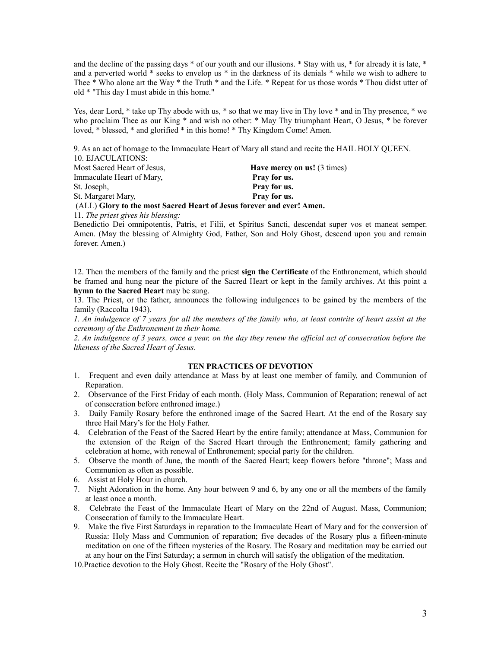and the decline of the passing days \* of our youth and our illusions. \* Stay with us, \* for already it is late, \* and a perverted world \* seeks to envelop us \* in the darkness of its denials \* while we wish to adhere to Thee \* Who alone art the Way \* the Truth \* and the Life. \* Repeat for us those words \* Thou didst utter of old \* "This day I must abide in this home."

Yes, dear Lord, \* take up Thy abode with us, \* so that we may live in Thy love \* and in Thy presence, \* we who proclaim Thee as our King \* and wish no other: \* May Thy triumphant Heart, O Jesus, \* be forever loved, \* blessed, \* and glorified \* in this home! \* Thy Kingdom Come! Amen.

9. As an act of homage to the Immaculate Heart of Mary all stand and recite the HAIL HOLY QUEEN.

10. EJACULATIONS: <u>Existed Heart of Jesus</u>, **Have mercy on us!** (3 times)

| Most Sacred Heart of Jesus.                                           | <b>Have mercy on us!</b> (3 times) |
|-----------------------------------------------------------------------|------------------------------------|
| Immaculate Heart of Mary.                                             | Pray for us.                       |
| St. Joseph,                                                           | Pray for us.                       |
| St. Margaret Mary,                                                    | Pray for us.                       |
| (ALL) Glory to the most Sacred Heart of Jesus forever and ever! Amen. |                                    |

11. *The priest gives his blessing:*

Benedictio Dei omnipotentis, Patris, et Filii, et Spiritus Sancti, descendat super vos et maneat semper. Amen. (May the blessing of Almighty God, Father, Son and Holy Ghost, descend upon you and remain forever. Amen.)

12. Then the members of the family and the priest **sign the Certificate** of the Enthronement, which should be framed and hung near the picture of the Sacred Heart or kept in the family archives. At this point a **hymn to the Sacred Heart** may be sung.

13. The Priest, or the father, announces the following indulgences to be gained by the members of the family (Raccolta 1943).

1. An indulgence of 7 years for all the members of the family who, at least contrite of heart assist at the *ceremony of the Enthronement in their home.* 

2. An indulgence of 3 years, once a year, on the day they renew the official act of consecration before the *likeness of the Sacred Heart of Jesus.*

# **TEN PRACTICES OF DEVOTION**

- 1. Frequent and even daily attendance at Mass by at least one member of family, and Communion of Reparation.
- 2. Observance of the First Friday of each month. (Holy Mass, Communion of Reparation; renewal of act of consecration before enthroned image.)
- 3. Daily Family Rosary before the enthroned image of the Sacred Heart. At the end of the Rosary say three Hail Mary's for the Holy Father.
- 4. Celebration of the Feast of the Sacred Heart by the entire family; attendance at Mass, Communion for the extension of the Reign of the Sacred Heart through the Enthronement; family gathering and celebration at home, with renewal of Enthronement; special party for the children.
- 5. Observe the month of June, the month of the Sacred Heart; keep flowers before "throne"; Mass and Communion as often as possible.
- 6. Assist at Holy Hour in church.
- 7. Night Adoration in the home. Any hour between 9 and 6, by any one or all the members of the family at least once a month.
- 8. Celebrate the Feast of the Immaculate Heart of Mary on the 22nd of August. Mass, Communion; Consecration of family to the Immaculate Heart.
- 9. Make the five First Saturdays in reparation to the Immaculate Heart of Mary and for the conversion of Russia: Holy Mass and Communion of reparation; five decades of the Rosary plus a fifteen-minute meditation on one of the fifteen mysteries of the Rosary. The Rosary and meditation may be carried out at any hour on the First Saturday; a sermon in church will satisfy the obligation of the meditation.

10.Practice devotion to the Holy Ghost. Recite the "Rosary of the Holy Ghost".